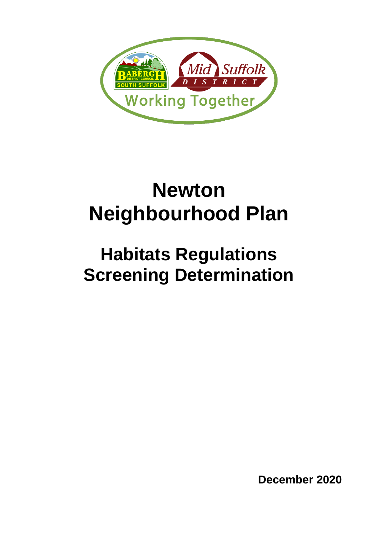

# **Newton Neighbourhood Plan**

## **Habitats Regulations Screening Determination**

**December 2020**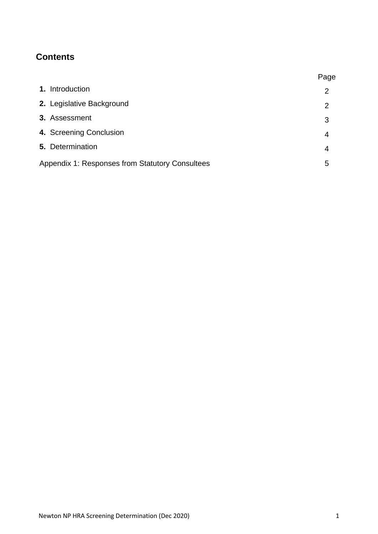### **Contents**

|                                                 | Page           |  |
|-------------------------------------------------|----------------|--|
| 1. Introduction                                 | $\overline{2}$ |  |
| 2. Legislative Background                       | 2              |  |
| 3. Assessment                                   | 3              |  |
| 4. Screening Conclusion                         | 4              |  |
| 5. Determination                                | 4              |  |
| Appendix 1: Responses from Statutory Consultees |                |  |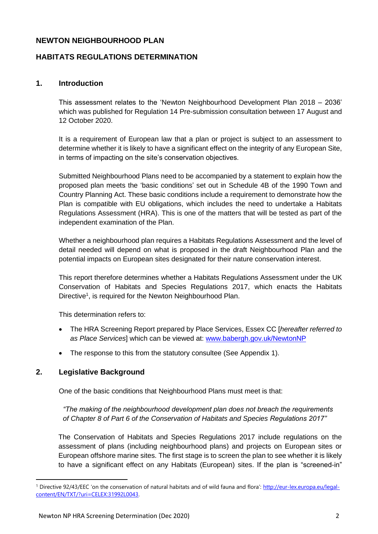#### **NEWTON NEIGHBOURHOOD PLAN**

#### **HABITATS REGULATIONS DETERMINATION**

#### **1. Introduction**

This assessment relates to the 'Newton Neighbourhood Development Plan 2018 – 2036' which was published for Regulation 14 Pre-submission consultation between 17 August and 12 October 2020.

It is a requirement of European law that a plan or project is subject to an assessment to determine whether it is likely to have a significant effect on the integrity of any European Site, in terms of impacting on the site's conservation objectives.

Submitted Neighbourhood Plans need to be accompanied by a statement to explain how the proposed plan meets the 'basic conditions' set out in Schedule 4B of the 1990 Town and Country Planning Act. These basic conditions include a requirement to demonstrate how the Plan is compatible with EU obligations, which includes the need to undertake a Habitats Regulations Assessment (HRA). This is one of the matters that will be tested as part of the independent examination of the Plan.

Whether a neighbourhood plan requires a Habitats Regulations Assessment and the level of detail needed will depend on what is proposed in the draft Neighbourhood Plan and the potential impacts on European sites designated for their nature conservation interest.

This report therefore determines whether a Habitats Regulations Assessment under the UK Conservation of Habitats and Species Regulations 2017, which enacts the Habitats Directive<sup>1</sup>, is required for the Newton Neighbourhood Plan.

This determination refers to:

- The HRA Screening Report prepared by Place Services, Essex CC [*hereafter referred to as Place Services*] which can be viewed at: [www.babergh.gov.uk/NewtonNP](http://www.babergh.gov.uk/NewtonNP)
- The response to this from the statutory consultee (See Appendix 1).

#### **2. Legislative Background**

One of the basic conditions that Neighbourhood Plans must meet is that:

*"The making of the neighbourhood development plan does not breach the requirements of Chapter 8 of Part 6 of the Conservation of Habitats and Species Regulations 2017"*

The Conservation of Habitats and Species Regulations 2017 include regulations on the assessment of plans (including neighbourhood plans) and projects on European sites or European offshore marine sites. The first stage is to screen the plan to see whether it is likely to have a significant effect on any Habitats (European) sites. If the plan is "screened-in"

<sup>1</sup> Directive 92/43/EEC 'on the conservation of natural habitats and of wild fauna and flora': [http://eur-lex.europa.eu/legal](http://eur-lex.europa.eu/legal-content/EN/TXT/?uri=CELEX:31992L0043)[content/EN/TXT/?uri=CELEX:31992L0043.](http://eur-lex.europa.eu/legal-content/EN/TXT/?uri=CELEX:31992L0043)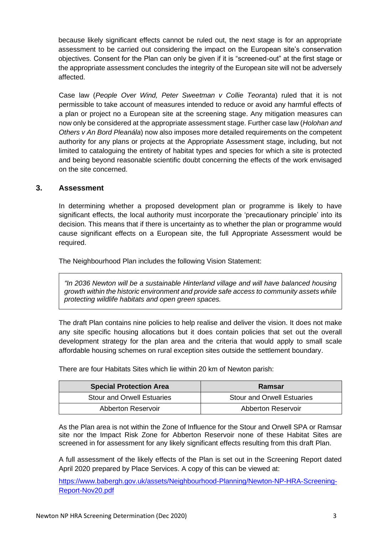because likely significant effects cannot be ruled out, the next stage is for an appropriate assessment to be carried out considering the impact on the European site's conservation objectives. Consent for the Plan can only be given if it is "screened-out" at the first stage or the appropriate assessment concludes the integrity of the European site will not be adversely affected.

Case law (*People Over Wind, Peter Sweetman v Collie Teoranta*) ruled that it is not permissible to take account of measures intended to reduce or avoid any harmful effects of a plan or project no a European site at the screening stage. Any mitigation measures can now only be considered at the appropriate assessment stage. Further case law (*Holohan and Others v An Bord Pleanála*) now also imposes more detailed requirements on the competent authority for any plans or projects at the Appropriate Assessment stage, including, but not limited to cataloguing the entirety of habitat types and species for which a site is protected and being beyond reasonable scientific doubt concerning the effects of the work envisaged on the site concerned.

#### **3. Assessment**

In determining whether a proposed development plan or programme is likely to have significant effects, the local authority must incorporate the 'precautionary principle' into its decision. This means that if there is uncertainty as to whether the plan or programme would cause significant effects on a European site, the full Appropriate Assessment would be required.

The Neighbourhood Plan includes the following Vision Statement:

*"In 2036 Newton will be a sustainable Hinterland village and will have balanced housing growth within the historic environment and provide safe access to community assets while protecting wildlife habitats and open green spaces.* 

The draft Plan contains nine policies to help realise and deliver the vision. It does not make any site specific housing allocations but it does contain policies that set out the overall development strategy for the plan area and the criteria that would apply to small scale affordable housing schemes on rural exception sites outside the settlement boundary.

| <b>Special Protection Area</b>    | Ramsar                            |
|-----------------------------------|-----------------------------------|
| <b>Stour and Orwell Estuaries</b> | <b>Stour and Orwell Estuaries</b> |
| Abberton Reservoir                | <b>Abberton Reservoir</b>         |

There are four Habitats Sites which lie within 20 km of Newton parish:

As the Plan area is not within the Zone of Influence for the Stour and Orwell SPA or Ramsar site nor the Impact Risk Zone for Abberton Reservoir none of these Habitat Sites are screened in for assessment for any likely significant effects resulting from this draft Plan.

A full assessment of the likely effects of the Plan is set out in the Screening Report dated April 2020 prepared by Place Services. A copy of this can be viewed at:

[https://www.babergh.gov.uk/assets/Neighbourhood-Planning/Newton-NP-HRA-Screening-](https://www.babergh.gov.uk/assets/Neighbourhood-Planning/Newton-NP-HRA-Screening-Report-Nov20.pdf)[Report-Nov20.pdf](https://www.babergh.gov.uk/assets/Neighbourhood-Planning/Newton-NP-HRA-Screening-Report-Nov20.pdf)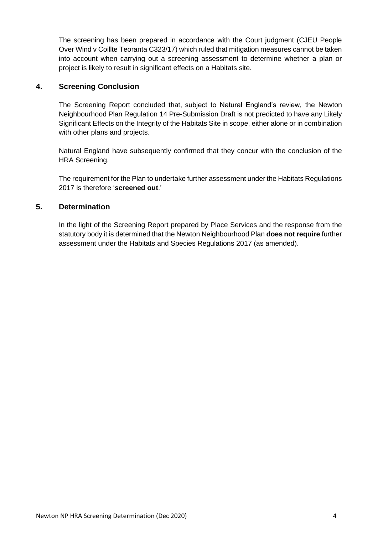The screening has been prepared in accordance with the Court judgment (CJEU People Over Wind v Coillte Teoranta C323/17) which ruled that mitigation measures cannot be taken into account when carrying out a screening assessment to determine whether a plan or project is likely to result in significant effects on a Habitats site.

#### **4. Screening Conclusion**

The Screening Report concluded that, subject to Natural England's review, the Newton Neighbourhood Plan Regulation 14 Pre-Submission Draft is not predicted to have any Likely Significant Effects on the Integrity of the Habitats Site in scope, either alone or in combination with other plans and projects.

Natural England have subsequently confirmed that they concur with the conclusion of the HRA Screening.

The requirement for the Plan to undertake further assessment under the Habitats Regulations 2017 is therefore '**screened out**.'

#### **5. Determination**

In the light of the Screening Report prepared by Place Services and the response from the statutory body it is determined that the Newton Neighbourhood Plan **does not require** further assessment under the Habitats and Species Regulations 2017 (as amended).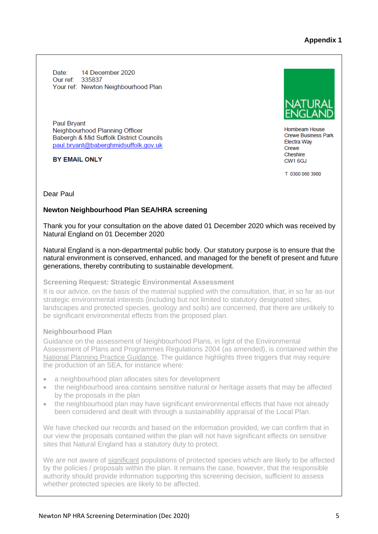**Appendix 1**

Date: 14 December 2020 Our ref: 335837 Your ref: Newton Neighbourhood Plan

**Paul Brvant** Neighbourhood Planning Officer Babergh & Mid Suffolk District Councils paul.bryant@baberghmidsuffolk.gov.uk

**BY EMAIL ONLY** 

Hornbeam House **Crewe Business Park Electra Wav** Crewe Cheshire CW1 6GJ

T 0300 060 3900

Dear Paul

#### **Newton Neighbourhood Plan SEA/HRA screening**

Thank you for your consultation on the above dated 01 December 2020 which was received by Natural England on 01 December 2020

Natural England is a non-departmental public body. Our statutory purpose is to ensure that the natural environment is conserved, enhanced, and managed for the benefit of present and future generations, thereby contributing to sustainable development.

**Screening Request: Strategic Environmental Assessment** 

It is our advice, on the basis of the material supplied with the consultation, that, in so far as our strategic environmental interests (including but not limited to statutory designated sites, landscapes and protected species, geology and soils) are concerned, that there are unlikely to be significant environmental effects from the proposed plan.

#### **Neighbourhood Plan**

Guidance on the assessment of Neighbourhood Plans, in light of the Environmental Assessment of Plans and Programmes Regulations 2004 (as amended), is contained within the [National Planning Practice Guidance.](https://www.gov.uk/guidance/strategic-environmental-assessment-and-sustainability-appraisal) The guidance highlights three triggers that may require the production of an SEA, for instance where:

- a neighbourhood plan allocates sites for development
- the neighbourhood area contains sensitive natural or heritage assets that may be affected by the proposals in the plan
- the neighbourhood plan may have significant environmental effects that have not already been considered and dealt with through a sustainability appraisal of the Local Plan.

We have checked our records and based on the information provided, we can confirm that in our view the proposals contained within the plan will not have significant effects on sensitive sites that Natural England has a statutory duty to protect.

We are not aware of significant populations of protected species which are likely to be affected by the policies / proposals within the plan. It remains the case, however, that the responsible authority should provide information supporting this screening decision, sufficient to assess whether protected species are likely to be affected.